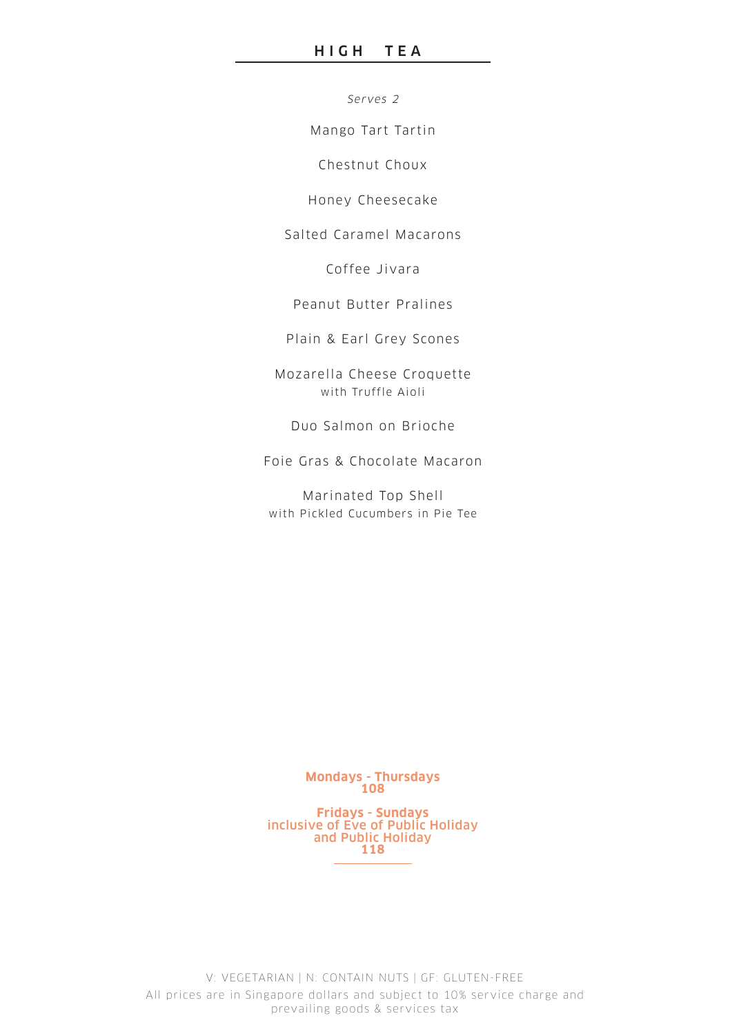Serves 2

Mango Tart Tartin

Chestnut Choux

Honey Cheesecake

Salted Caramel Macarons

Coffee Jivara

Peanut Butter Pralines

Plain & Earl Grey Scones

Mozarella Cheese Croquette with Truffle Aioli

Duo Salmon on Br ioche

Foie Gras & Chocolate Macaron

Marinated Top Shell with Pickled Cucumbers in Pie Tee

> **Mondays - Thursdays 108**

**Fridays - Sundays** inclusive of Eve of Public Holiday and Public Holiday **118**

V: VEGETARIAN | N: CONTAIN NUTS | GF: GLUTEN-FREE All prices are in Singapore dollars and subject to 10% service charge and prevailing goods & services tax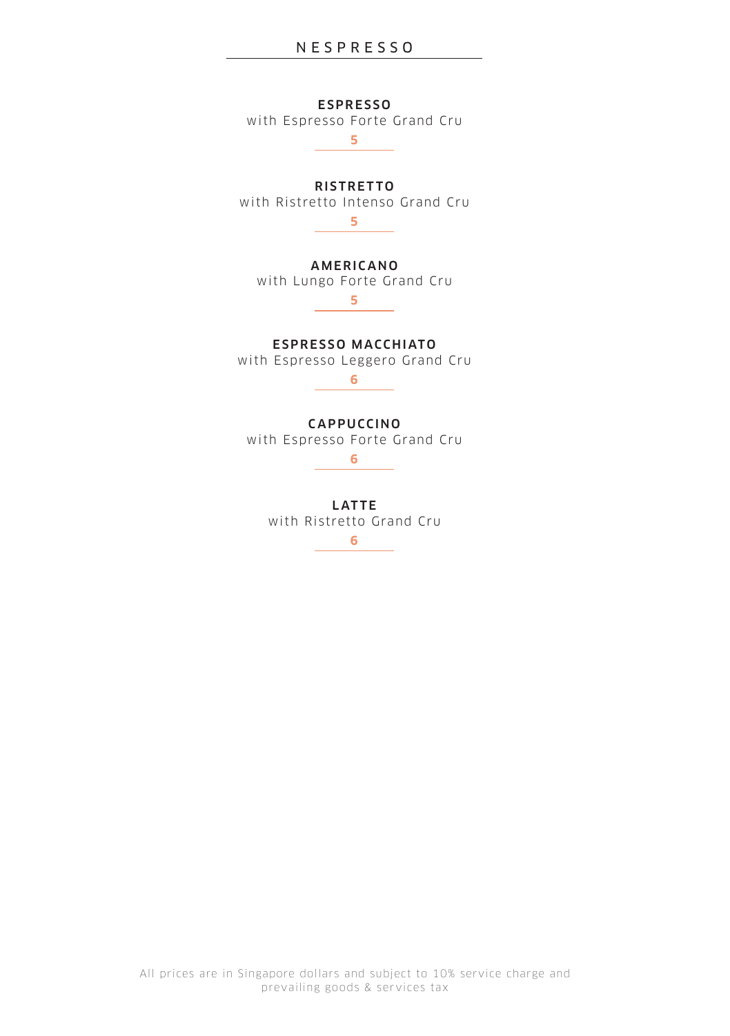**ESPRESSO** 

with Espresso Forte Grand Cru **5**

RISTRETTO

with Ristretto Intenso Grand Cru

**5**

**AMERICANO** 

with Lungo Forte Grand Cru **5**

ESPRESSO MACCHIATO with Espresso Leggero Grand Cru

**6**

## **CAPPUCCINO**

with Espresso Forte Grand Cru

**6**

**LATTE** with Ristretto Grand Cru **6**

All prices are in Singapore dollars and subject to 10% service charge and prevailing goods & services tax